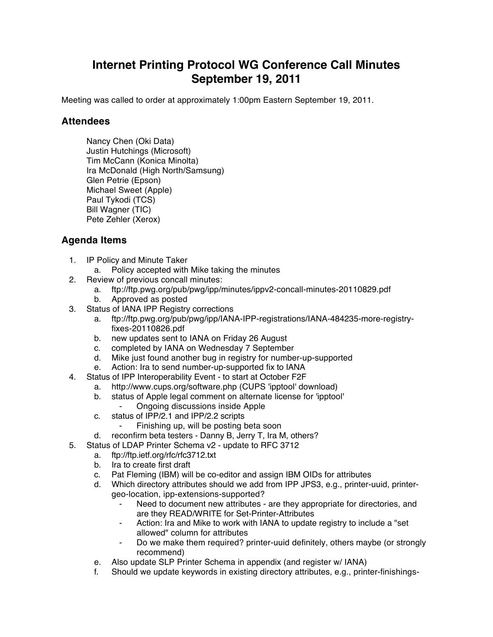## **Internet Printing Protocol WG Conference Call Minutes September 19, 2011**

Meeting was called to order at approximately 1:00pm Eastern September 19, 2011.

## **Attendees**

Nancy Chen (Oki Data) Justin Hutchings (Microsoft) Tim McCann (Konica Minolta) Ira McDonald (High North/Samsung) Glen Petrie (Epson) Michael Sweet (Apple) Paul Tykodi (TCS) Bill Wagner (TIC) Pete Zehler (Xerox)

## **Agenda Items**

- 1. IP Policy and Minute Taker
	- a. Policy accepted with Mike taking the minutes
- 2. Review of previous concall minutes:
	- a. ftp://ftp.pwg.org/pub/pwg/ipp/minutes/ippv2-concall-minutes-20110829.pdf
	- b. Approved as posted
- 3. Status of IANA IPP Registry corrections
	- a. ftp://ftp.pwg.org/pub/pwg/ipp/IANA-IPP-registrations/IANA-484235-more-registryfixes-20110826.pdf
	- b. new updates sent to IANA on Friday 26 August
	- c. completed by IANA on Wednesday 7 September
	- d. Mike just found another bug in registry for number-up-supported
	- e. Action: Ira to send number-up-supported fix to IANA
- 4. Status of IPP Interoperability Event to start at October F2F
	- a. http://www.cups.org/software.php (CUPS 'ipptool' download)
	- b. status of Apple legal comment on alternate license for 'ipptool'
		- Ongoing discussions inside Apple
	- c. status of IPP/2.1 and IPP/2.2 scripts
		- Finishing up, will be posting beta soon
	- d. reconfirm beta testers Danny B, Jerry T, Ira M, others?
- 5. Status of LDAP Printer Schema v2 update to RFC 3712
	- a. ftp://ftp.ietf.org/rfc/rfc3712.txt
	- b. Ira to create first draft
	- c. Pat Fleming (IBM) will be co-editor and assign IBM OIDs for attributes
	- d. Which directory attributes should we add from IPP JPS3, e.g., printer-uuid, printergeo-location, ipp-extensions-supported?
		- Need to document new attributes are they appropriate for directories, and are they READ/WRITE for Set-Printer-Attributes
		- Action: Ira and Mike to work with IANA to update registry to include a "set allowed" column for attributes
		- Do we make them required? printer-uuid definitely, others maybe (or strongly recommend)
	- e. Also update SLP Printer Schema in appendix (and register w/ IANA)
	- f. Should we update keywords in existing directory attributes, e.g., printer-finishings-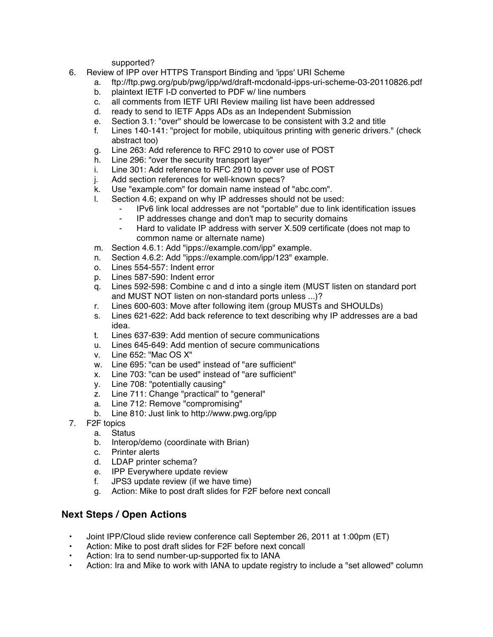supported?

- 6. Review of IPP over HTTPS Transport Binding and 'ipps' URI Scheme
	- a. ftp://ftp.pwg.org/pub/pwg/ipp/wd/draft-mcdonald-ipps-uri-scheme-03-20110826.pdf
	- b. plaintext IETF I-D converted to PDF w/ line numbers
	- c. all comments from IETF URI Review mailing list have been addressed
	- d. ready to send to IETF Apps ADs as an Independent Submission
	- e. Section 3.1: "over" should be lowercase to be consistent with 3.2 and title
	- f. Lines 140-141: "project for mobile, ubiquitous printing with generic drivers." (check abstract too)
	- g. Line 263: Add reference to RFC 2910 to cover use of POST
	- h. Line 296: "over the security transport layer"
	- i. Line 301: Add reference to RFC 2910 to cover use of POST
	- j. Add section references for well-known specs?
	- k. Use "example.com" for domain name instead of "abc.com".
	- l. Section 4.6; expand on why IP addresses should not be used:
		- ⁃ IPv6 link local addresses are not "portable" due to link identification issues
			- ⁃ IP addresses change and don't map to security domains
		- Hard to validate IP address with server X.509 certificate (does not map to common name or alternate name)
	- m. Section 4.6.1: Add "ipps://example.com/ipp" example.
	- n. Section 4.6.2: Add "ipps://example.com/ipp/123" example.
	- o. Lines 554-557: Indent error
	- p. Lines 587-590: Indent error
	- q. Lines 592-598: Combine c and d into a single item (MUST listen on standard port and MUST NOT listen on non-standard ports unless ...)?
	- r. Lines 600-603: Move after following item (group MUSTs and SHOULDs)
	- s. Lines 621-622: Add back reference to text describing why IP addresses are a bad idea.
	- t. Lines 637-639: Add mention of secure communications
	- u. Lines 645-649: Add mention of secure communications
	- v. Line 652: "Mac OS X"
	- w. Line 695: "can be used" instead of "are sufficient"
	- x. Line 703: "can be used" instead of "are sufficient"
	- y. Line 708: "potentially causing"
	- z. Line 711: Change "practical" to "general"
	- a. Line 712: Remove "compromising"
	- b. Line 810: Just link to http://www.pwg.org/ipp
- 7. F2F topics
	- a. Status
	- b. Interop/demo (coordinate with Brian)
	- c. Printer alerts
	- d. LDAP printer schema?
	- e. IPP Everywhere update review
	- f. JPS3 update review (if we have time)
	- g. Action: Mike to post draft slides for F2F before next concall

## **Next Steps / Open Actions**

- Joint IPP/Cloud slide review conference call September 26, 2011 at 1:00pm (ET)
- Action: Mike to post draft slides for F2F before next concall
- Action: Ira to send number-up-supported fix to IANA
- Action: Ira and Mike to work with IANA to update registry to include a "set allowed" column